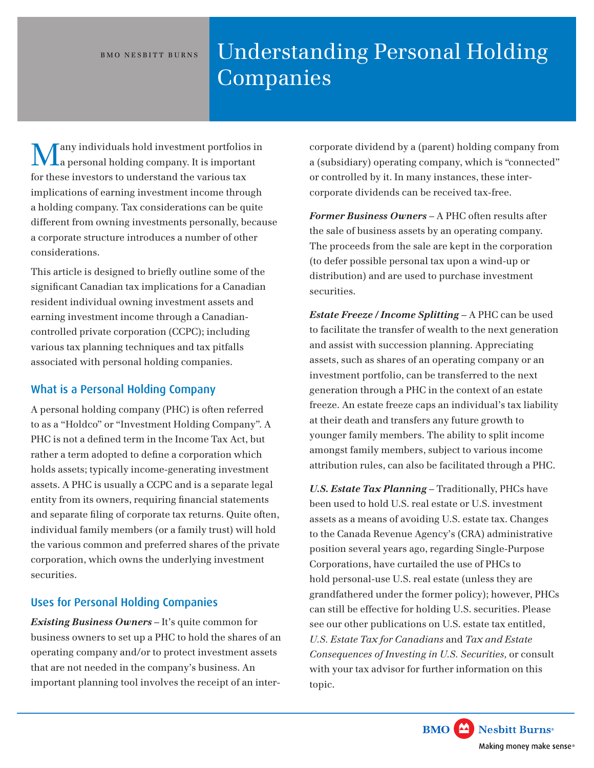#### BMO NESBITT BURNS

# Understanding Personal Holding Companies

any individuals hold investment portfolios in a personal holding company. It is important for these investors to understand the various tax implications of earning investment income through a holding company. Tax considerations can be quite different from owning investments personally, because a corporate structure introduces a number of other considerations.

This article is designed to briefly outline some of the significant Canadian tax implications for a Canadian resident individual owning investment assets and earning investment income through a Canadiancontrolled private corporation (CCPC); including various tax planning techniques and tax pitfalls associated with personal holding companies.

## What is a Personal Holding Company

A personal holding company (PHC) is often referred to as a "Holdco" or "Investment Holding Company". A PHC is not a defined term in the Income Tax Act, but rather a term adopted to define a corporation which holds assets; typically income-generating investment assets. A PHC is usually a CCPC and is a separate legal entity from its owners, requiring financial statements and separate filing of corporate tax returns. Quite often, individual family members (or a family trust) will hold the various common and preferred shares of the private corporation, which owns the underlying investment securities.

# Uses for Personal Holding Companies

*Existing Business Owners* – It's quite common for business owners to set up a PHC to hold the shares of an operating company and/or to protect investment assets that are not needed in the company's business. An important planning tool involves the receipt of an intercorporate dividend by a (parent) holding company from a (subsidiary) operating company, which is "connected" or controlled by it. In many instances, these intercorporate dividends can be received tax-free.

*Former Business Owners* – A PHC often results after the sale of business assets by an operating company. The proceeds from the sale are kept in the corporation (to defer possible personal tax upon a wind-up or distribution) and are used to purchase investment securities.

*Estate Freeze / Income Splitting* – A PHC can be used to facilitate the transfer of wealth to the next generation and assist with succession planning. Appreciating assets, such as shares of an operating company or an investment portfolio, can be transferred to the next generation through a PHC in the context of an estate freeze. An estate freeze caps an individual's tax liability at their death and transfers any future growth to younger family members. The ability to split income amongst family members, subject to various income attribution rules, can also be facilitated through a PHC.

*U.S. Estate Tax Planning* – Traditionally, PHCs have been used to hold U.S. real estate or U.S. investment assets as a means of avoiding U.S. estate tax. Changes to the Canada Revenue Agency's (CRA) administrative position several years ago, regarding Single-Purpose Corporations, have curtailed the use of PHCs to hold personal-use U.S. real estate (unless they are grandfathered under the former policy); however, PHCs can still be effective for holding U.S. securities. Please see our other publications on U.S. estate tax entitled, *U.S. Estate Tax for Canadians* and *Tax and Estate Consequences of Investing in U.S. Securities,* or consult with your tax advisor for further information on this topic.

> **BMO** Nesbitt Burns<sup>®</sup> Making money make sense<sup>®</sup>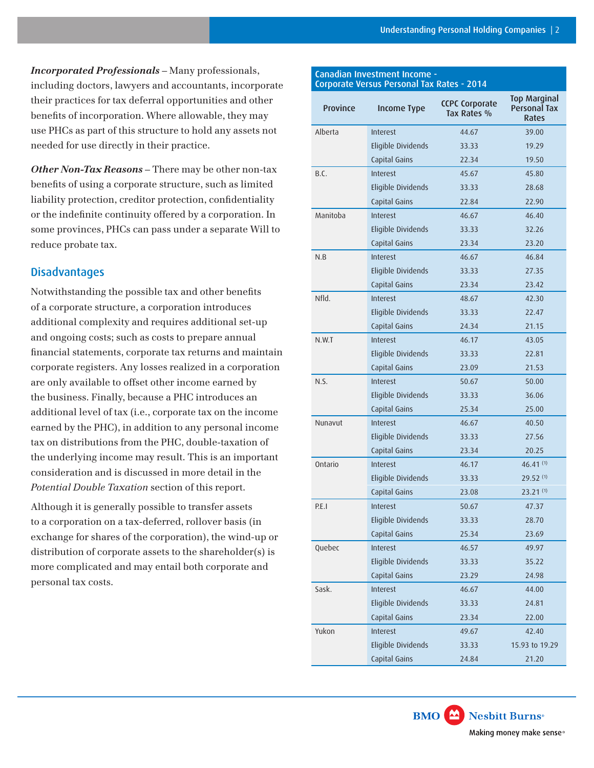*Incorporated Professionals* – Many professionals, including doctors, lawyers and accountants, incorporate their practices for tax deferral opportunities and other benefits of incorporation. Where allowable, they may use PHCs as part of this structure to hold any assets not needed for use directly in their practice.

*Other Non-Tax Reasons* – There may be other non-tax benefits of using a corporate structure, such as limited liability protection, creditor protection, confidentiality or the indefinite continuity offered by a corporation. In some provinces, PHCs can pass under a separate Will to reduce probate tax.

## **Disadvantages**

Notwithstanding the possible tax and other benefits of a corporate structure, a corporation introduces additional complexity and requires additional set-up and ongoing costs; such as costs to prepare annual financial statements, corporate tax returns and maintain corporate registers. Any losses realized in a corporation are only available to offset other income earned by the business. Finally, because a PHC introduces an additional level of tax (i.e., corporate tax on the income earned by the PHC), in addition to any personal income tax on distributions from the PHC, double-taxation of the underlying income may result. This is an important consideration and is discussed in more detail in the *Potential Double Taxation* section of this report.

Although it is generally possible to transfer assets to a corporation on a tax-deferred, rollover basis (in exchange for shares of the corporation), the wind-up or distribution of corporate assets to the shareholder(s) is more complicated and may entail both corporate and personal tax costs.

#### Canadian Investment Income - Corporate Versus Personal Tax Rates - 2014

| Province | <b>Income Type</b> | <b>CCPC Corporate</b><br>Tax Rates % | <b>Top Marginal</b><br><b>Personal Tax</b><br>Rates |
|----------|--------------------|--------------------------------------|-----------------------------------------------------|
| Alberta  | Interest           | 44.67                                | 39.00                                               |
|          | Eligible Dividends | 33.33                                | 19.29                                               |
|          | Capital Gains      | 22.34                                | 19.50                                               |
| B.C.     | Interest           | 45.67                                | 45.80                                               |
|          | Eligible Dividends | 33.33                                | 28.68                                               |
|          | Capital Gains      | 22.84                                | 22.90                                               |
| Manitoba | <b>Interest</b>    | 46.67                                | 46.40                                               |
|          | Eligible Dividends | 33.33                                | 32.26                                               |
|          | Capital Gains      | 23.34                                | 23.20                                               |
| N.B      | <b>Interest</b>    | 46.67                                | 46.84                                               |
|          | Eligible Dividends | 33.33                                | 27.35                                               |
|          | Capital Gains      | 23.34                                | 23.42                                               |
| Nfld.    | <b>Interest</b>    | 48.67                                | 42.30                                               |
|          | Eligible Dividends | 33.33                                | 22.47                                               |
|          | Capital Gains      | 24.34                                | 21.15                                               |
| N.W.T    | <b>Interest</b>    | 46.17                                | 43.05                                               |
|          | Eligible Dividends | 33.33                                | 22.81                                               |
|          | Capital Gains      | 23.09                                | 21.53                                               |
| N.S.     | <b>Interest</b>    | 50.67                                | 50.00                                               |
|          | Eligible Dividends | 33.33                                | 36.06                                               |
|          | Capital Gains      | 25.34<br>25.00                       |                                                     |
| Nunavut  | <b>Interest</b>    | 46.67                                | 40.50                                               |
|          | Eligible Dividends | 33.33                                | 27.56                                               |
|          | Capital Gains      | 23.34                                | 20.25                                               |
| Ontario  | Interest           | 46.17                                | $46.41^{(1)}$                                       |
|          | Eligible Dividends | 33.33                                | $29.52^{(1)}$                                       |
|          | Capital Gains      | 23.08                                | $23.21^{(1)}$                                       |
| P.E.I    | Interest           | 50.67                                | 47.37                                               |
|          | Eligible Dividends | 33.33                                | 28.70                                               |
|          | Capital Gains      | 25.34                                | 23.69                                               |
| Quebec   | Interest           | 46.57                                | 49.97                                               |
|          | Eligible Dividends | 33.33                                | 35.22                                               |
|          | Capital Gains      | 23.29                                | 24.98                                               |
| Sask.    | Interest           | 46.67                                | 44.00                                               |
|          | Eligible Dividends | 33.33                                | 24.81                                               |
|          | Capital Gains      | 23.34                                | 22.00                                               |
| Yukon    | Interest           | 49.67                                | 42.40                                               |
|          | Eligible Dividends | 33.33                                | 15.93 to 19.29                                      |
|          | Capital Gains      | 24.84                                | 21.20                                               |

**BMO** Nesbitt Burns<sup>®</sup>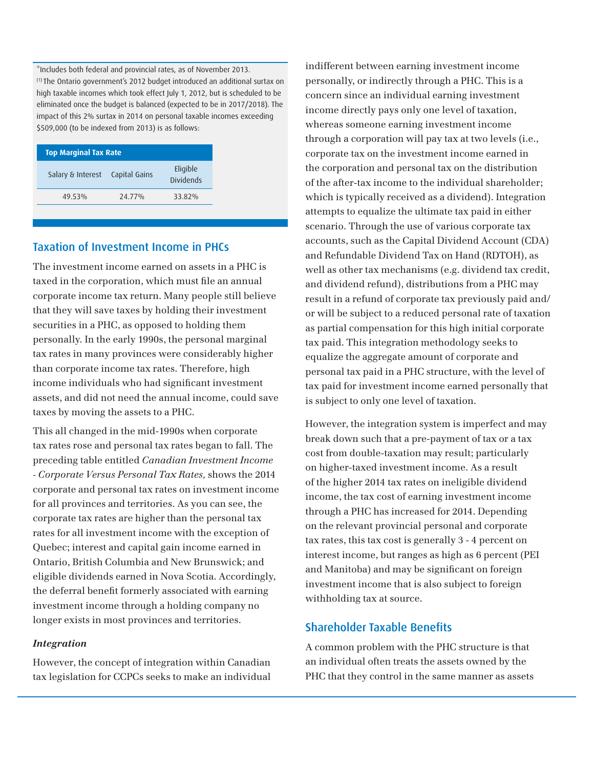\*Includes both federal and provincial rates, as of November 2013. (1) The Ontario government's 2012 budget introduced an additional surtax on high taxable incomes which took effect July 1, 2012, but is scheduled to be eliminated once the budget is balanced (expected to be in 2017/2018). The impact of this 2% surtax in 2014 on personal taxable incomes exceeding \$509,000 (to be indexed from 2013) is as follows:

| <b>Top Marginal Tax Rate</b>    |        |                              |  |  |
|---------------------------------|--------|------------------------------|--|--|
| Salary & Interest Capital Gains |        | Eligible<br><b>Dividends</b> |  |  |
| 49.53%                          | 24.77% | 33.82%                       |  |  |

## Taxation of Investment Income in PHCs

The investment income earned on assets in a PHC is taxed in the corporation, which must file an annual corporate income tax return. Many people still believe that they will save taxes by holding their investment securities in a PHC, as opposed to holding them personally. In the early 1990s, the personal marginal tax rates in many provinces were considerably higher than corporate income tax rates. Therefore, high income individuals who had significant investment assets, and did not need the annual income, could save taxes by moving the assets to a PHC.

This all changed in the mid-1990s when corporate tax rates rose and personal tax rates began to fall. The preceding table entitled *Canadian Investment Income - Corporate Versus Personal Tax Rates,* shows the 2014 corporate and personal tax rates on investment income for all provinces and territories. As you can see, the corporate tax rates are higher than the personal tax rates for all investment income with the exception of Quebec; interest and capital gain income earned in Ontario, British Columbia and New Brunswick; and eligible dividends earned in Nova Scotia. Accordingly, the deferral benefit formerly associated with earning investment income through a holding company no longer exists in most provinces and territories.

## *Integration*

However, the concept of integration within Canadian tax legislation for CCPCs seeks to make an individual indifferent between earning investment income personally, or indirectly through a PHC. This is a concern since an individual earning investment income directly pays only one level of taxation, whereas someone earning investment income through a corporation will pay tax at two levels (i.e., corporate tax on the investment income earned in the corporation and personal tax on the distribution of the after-tax income to the individual shareholder; which is typically received as a dividend). Integration attempts to equalize the ultimate tax paid in either scenario. Through the use of various corporate tax accounts, such as the Capital Dividend Account (CDA) and Refundable Dividend Tax on Hand (RDTOH), as well as other tax mechanisms (e.g. dividend tax credit, and dividend refund), distributions from a PHC may result in a refund of corporate tax previously paid and/ or will be subject to a reduced personal rate of taxation as partial compensation for this high initial corporate tax paid. This integration methodology seeks to equalize the aggregate amount of corporate and personal tax paid in a PHC structure, with the level of tax paid for investment income earned personally that is subject to only one level of taxation.

However, the integration system is imperfect and may break down such that a pre-payment of tax or a tax cost from double-taxation may result; particularly on higher-taxed investment income. As a result of the higher 2014 tax rates on ineligible dividend income, the tax cost of earning investment income through a PHC has increased for 2014. Depending on the relevant provincial personal and corporate tax rates, this tax cost is generally 3 - 4 percent on interest income, but ranges as high as 6 percent (PEI and Manitoba) and may be significant on foreign investment income that is also subject to foreign withholding tax at source.

## Shareholder Taxable Benefits

A common problem with the PHC structure is that an individual often treats the assets owned by the PHC that they control in the same manner as assets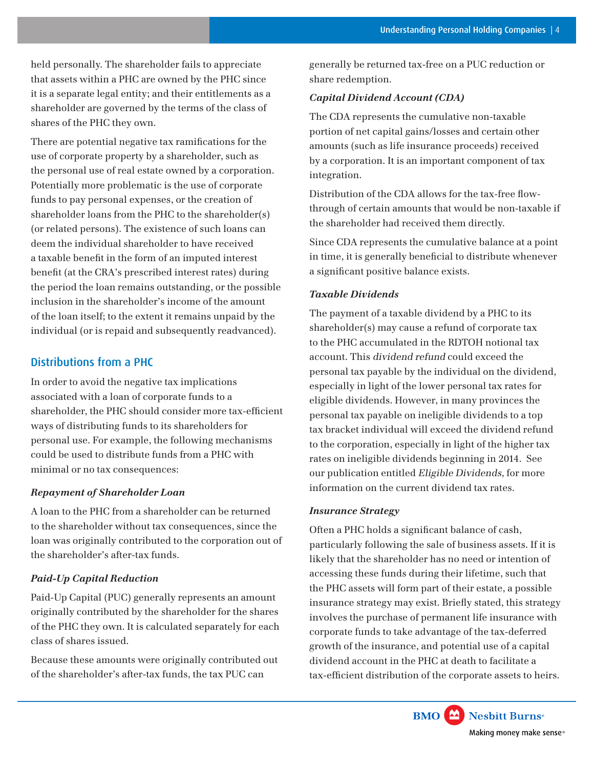held personally. The shareholder fails to appreciate that assets within a PHC are owned by the PHC since it is a separate legal entity; and their entitlements as a shareholder are governed by the terms of the class of shares of the PHC they own.

There are potential negative tax ramifications for the use of corporate property by a shareholder, such as the personal use of real estate owned by a corporation. Potentially more problematic is the use of corporate funds to pay personal expenses, or the creation of shareholder loans from the PHC to the shareholder(s) (or related persons). The existence of such loans can deem the individual shareholder to have received a taxable benefit in the form of an imputed interest benefit (at the CRA's prescribed interest rates) during the period the loan remains outstanding, or the possible inclusion in the shareholder's income of the amount of the loan itself; to the extent it remains unpaid by the individual (or is repaid and subsequently readvanced).

## Distributions from a PHC

In order to avoid the negative tax implications associated with a loan of corporate funds to a shareholder, the PHC should consider more tax-efficient ways of distributing funds to its shareholders for personal use. For example, the following mechanisms could be used to distribute funds from a PHC with minimal or no tax consequences:

## *Repayment of Shareholder Loan*

A loan to the PHC from a shareholder can be returned to the shareholder without tax consequences, since the loan was originally contributed to the corporation out of the shareholder's after-tax funds.

## *Paid-Up Capital Reduction*

Paid-Up Capital (PUC) generally represents an amount originally contributed by the shareholder for the shares of the PHC they own. It is calculated separately for each class of shares issued.

Because these amounts were originally contributed out of the shareholder's after-tax funds, the tax PUC can

generally be returned tax-free on a PUC reduction or share redemption.

#### *Capital Dividend Account (CDA)*

The CDA represents the cumulative non-taxable portion of net capital gains/losses and certain other amounts (such as life insurance proceeds) received by a corporation. It is an important component of tax integration.

Distribution of the CDA allows for the tax-free flowthrough of certain amounts that would be non-taxable if the shareholder had received them directly.

Since CDA represents the cumulative balance at a point in time, it is generally beneficial to distribute whenever a significant positive balance exists.

## *Taxable Dividends*

The payment of a taxable dividend by a PHC to its shareholder(s) may cause a refund of corporate tax to the PHC accumulated in the RDTOH notional tax account. This dividend refund could exceed the personal tax payable by the individual on the dividend, especially in light of the lower personal tax rates for eligible dividends. However, in many provinces the personal tax payable on ineligible dividends to a top tax bracket individual will exceed the dividend refund to the corporation, especially in light of the higher tax rates on ineligible dividends beginning in 2014. See our publication entitled Eligible Dividends, for more information on the current dividend tax rates.

#### *Insurance Strategy*

Often a PHC holds a significant balance of cash, particularly following the sale of business assets. If it is likely that the shareholder has no need or intention of accessing these funds during their lifetime, such that the PHC assets will form part of their estate, a possible insurance strategy may exist. Briefly stated, this strategy involves the purchase of permanent life insurance with corporate funds to take advantage of the tax-deferred growth of the insurance, and potential use of a capital dividend account in the PHC at death to facilitate a tax-efficient distribution of the corporate assets to heirs.